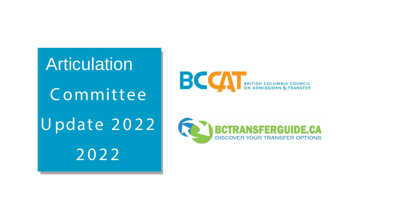Articulation Committee Update 2022 2022





#### ISFERGUI **DISCOVER YOUR TRANSFER OPTIONS**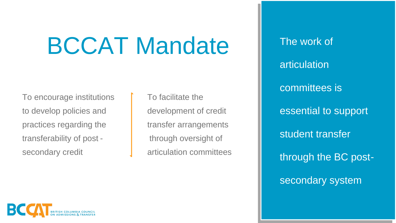articulation committees is essential to support student transfer through the BC postsecondary system

# BCCAT Mandate I The work of

To encourage institutions to develop policies and practices regarding the transferability of post secondary credit

To facilitate the development of credit transfer arrangements through oversight of articulation committees

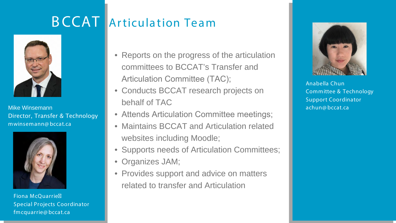- Reports on the progress of the articulation committees to BCCAT's Transfer and Articulation Committee (TAC);
- Conducts BCCAT research projects on behalf of TAC
- Attends Articulation Committee meetings;
- Maintains BCCAT and Articulation related websites including Moodle;
- Supports needs of Articulation Committees;
- Organizes JAM;
- Provides support and advice on matters related to transfer and Articulation



#### BCCAT Articulation Team



Mike Winsemann Director, Transfer & Technology mwinsemann@ bccat.ca

Anabella Chun Committee & Technology Support Coordinator achun@ bccat.ca



Fiona McQuarrie Special Projects Coordinator fmcquarrie@ bccat.ca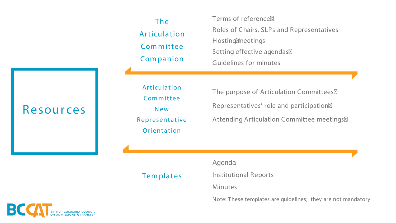Agenda

Institutional Reports

M inutes



Terms of reference Hosting meetings

- 
- Roles of Chairs, SLPs and Representatives
	-
- Setting effective agendas
- Guidelines for minutes
- The purpose of Articulation Committees
- Representatives' role and participation
- Attending Articulation Committee meetings

Note: These templates are guidelines; they are not mandatory

#### The Articulation Committee Companion

Articulation Committee New Representative Orientation

**Templates** 

#### Resources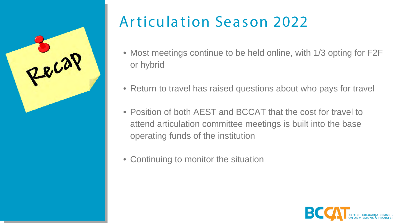- or hybrid
- 
- Position of both AEST and BCCAT that the cost for travel to attend articulation committee meetings is built into the base operating funds of the institution
- Continuing to monitor the situation

• Most meetings continue to be held online, with 1/3 opting for F2F

• Return to travel has raised questions about who pays for travel





### Articulation Season 2022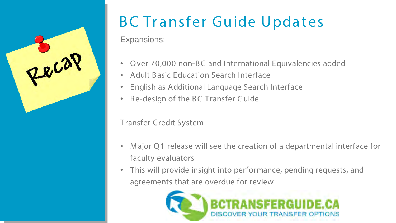Expansions:

- Over 70,000 non-BC and International Equivalencies added
- Adult Basic Education Search Interface
- English as Additional Language Search Interface
- Re-design of the BC Transfer Guide

Transfer Credit System

- Major Q1 release will see the creation of a departmental interface for faculty evaluators
- This will provide insight into performance, pending requests, and agreements that are overdue for review





## BC Transfer Guide Updates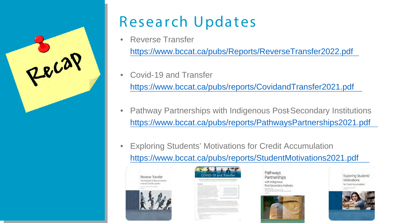- Reverse Transfer <https://www.bccat.ca/pubs/Reports/ReverseTransfer2022.pdf>
- Covid-19 and Transfer <https://www.bccat.ca/pubs/reports/CovidandTransfer2021.pdf>
- 
- Exploring Students' Motivations for Credit Accumulation <https://www.bccat.ca/pubs/reports/StudentMotivations2021.pdf>







• Pathway Partnerships with Indigenous Post-Secondary Institutions <https://www.bccat.ca/pubs/reports/PathwaysPartnerships2021.pdf>

Pathways Partnerships ith Indigenous Post-Secondary Institutes









### Research Updates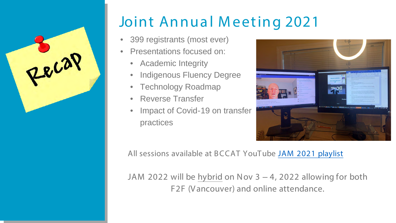

## Joint Annual Meeting 2021

- 399 registrants (most ever)
- Presentations focused on:
	- Academic Integrity
	- Indigenous Fluency Degree
	- Technology Roadmap
	- Reverse Transfer
	- Impact of Covid-19 on transfer practices

JAM 2022 will be hybrid on Nov 3 – 4, 2022 allowing for both F2F (Vancouver) and online attendance.



All sessions available at B CCAT YouTube [JAM 2021 playlist](https://www.youtube.com/watch?v=3UGujGYwM_s&list=PLwF7-d6rLJfu4VfC0IJkWjOer3keEvlR9)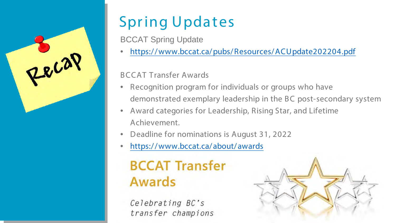

## Spring Updates

BCCAT Spring Update

• [https:/ / www.bccat.ca/ pubs/ Resources/ ACUpdate202204.pdf](https://www.bccat.ca/pubs/Resources/ACUpdate202204.pdf)

BCCAT Transfer Awards

demonstrated exemplary leadership in the BC post-secondary system



- Recognition program for individuals or groups who have
- Award categories for Leadership, Rising Star, and Lifetime Achievement.
- Deadline for nominations is August 31, 2022
- [https:/ / www.bccat.ca/ about/ awards](https://www.bccat.ca/about/awards)

#### **BCCAT Transfer Awards**

Celebrating BC's transfer champions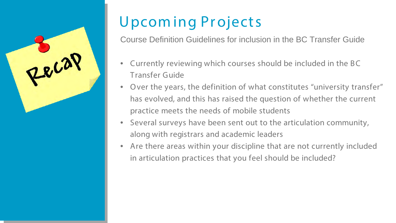Course Definition Guidelines for inclusion in the BC Transfer Guide

- Currently reviewing which courses should be included in the BC Transfer Guide
- Over the years, the definition of what constitutes "university transfer" has evolved, and this has raised the question of whether the current practice meets the needs of mobile students
- Several surveys have been sent out to the articulation community, along with registrars and academic leaders
- Are there areas within your discipline that are not currently included in articulation practices that you feel should be included?



### Upcom ing Pr ojects